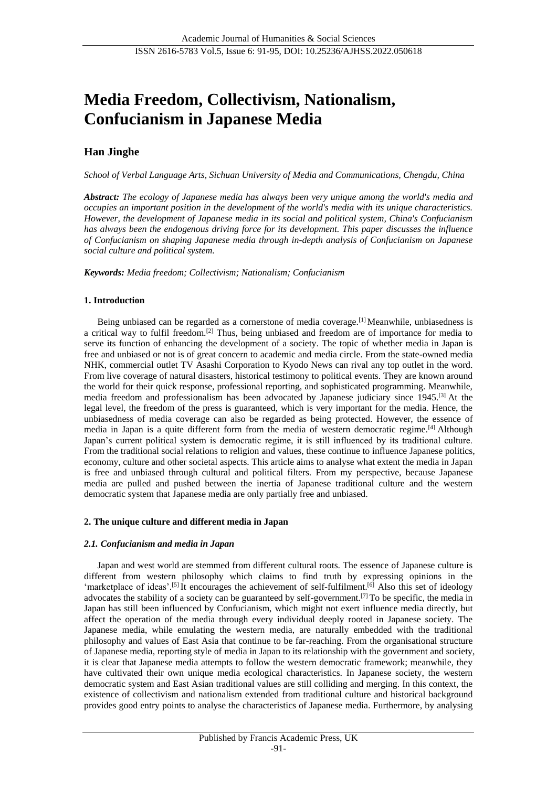# **Media Freedom, Collectivism, Nationalism, Confucianism in Japanese Media**

# **Han Jinghe**

*School of Verbal Language Arts, Sichuan University of Media and Communications, Chengdu, China*

*Abstract: The ecology of Japanese media has always been very unique among the world's media and occupies an important position in the development of the world's media with its unique characteristics. However, the development of Japanese media in its social and political system, China's Confucianism has always been the endogenous driving force for its development. This paper discusses the influence of Confucianism on shaping Japanese media through in-depth analysis of Confucianism on Japanese social culture and political system.*

*Keywords: Media freedom; Collectivism; Nationalism; Confucianism*

#### **1. Introduction**

Being unbiased can be regarded as a cornerstone of media coverage.[1] Meanwhile, unbiasedness is a critical way to fulfil freedom.[2] Thus, being unbiased and freedom are of importance for media to serve its function of enhancing the development of a society. The topic of whether media in Japan is free and unbiased or not is of great concern to academic and media circle. From the state-owned media NHK, commercial outlet TV Asashi Corporation to Kyodo News can rival any top outlet in the word. From live coverage of natural disasters, historical testimony to political events. They are known around the world for their quick response, professional reporting, and sophisticated programming. Meanwhile, media freedom and professionalism has been advocated by Japanese judiciary since 1945.[3] At the legal level, the freedom of the press is guaranteed, which is very important for the media. Hence, the unbiasedness of media coverage can also be regarded as being protected. However, the essence of media in Japan is a quite different form from the media of western democratic regime.[4] Although Japan's current political system is democratic regime, it is still influenced by its traditional culture. From the traditional social relations to religion and values, these continue to influence Japanese politics, economy, culture and other societal aspects. This article aims to analyse what extent the media in Japan is free and unbiased through cultural and political filters. From my perspective, because Japanese media are pulled and pushed between the inertia of Japanese traditional culture and the western democratic system that Japanese media are only partially free and unbiased.

## **2. The unique culture and different media in Japan**

## *2.1. Confucianism and media in Japan*

Japan and west world are stemmed from different cultural roots. The essence of Japanese culture is different from western philosophy which claims to find truth by expressing opinions in the 'marketplace of ideas'.<sup>[5]</sup>It encourages the achievement of self-fulfilment.<sup>[6]</sup> Also this set of ideology advocates the stability of a society can be guaranteed by self-government.[7] To be specific, the media in Japan has still been influenced by Confucianism, which might not exert influence media directly, but affect the operation of the media through every individual deeply rooted in Japanese society. The Japanese media, while emulating the western media, are naturally embedded with the traditional philosophy and values of East Asia that continue to be far-reaching. From the organisational structure of Japanese media, reporting style of media in Japan to its relationship with the government and society, it is clear that Japanese media attempts to follow the western democratic framework; meanwhile, they have cultivated their own unique media ecological characteristics. In Japanese society, the western democratic system and East Asian traditional values are still colliding and merging. In this context, the existence of collectivism and nationalism extended from traditional culture and historical background provides good entry points to analyse the characteristics of Japanese media. Furthermore, by analysing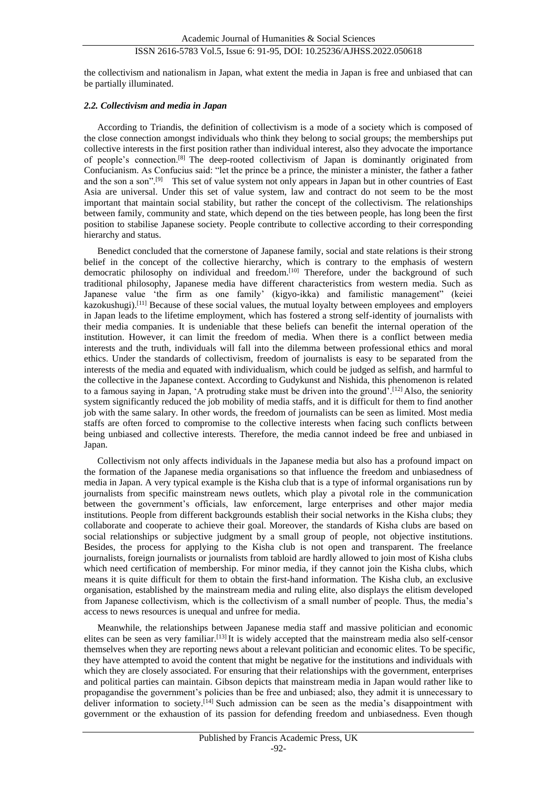the collectivism and nationalism in Japan, what extent the media in Japan is free and unbiased that can be partially illuminated.

#### *2.2. Collectivism and media in Japan*

According to Triandis, the definition of collectivism is a mode of a society which is composed of the close connection amongst individuals who think they belong to social groups; the memberships put collective interests in the first position rather than individual interest, also they advocate the importance of people's connection.[8] The deep-rooted collectivism of Japan is dominantly originated from Confucianism. As Confucius said: "let the prince be a prince, the minister a minister, the father a father and the son a son".<sup>[9]</sup> This set of value system not only appears in Japan but in other countries of East Asia are universal. Under this set of value system, law and contract do not seem to be the most important that maintain social stability, but rather the concept of the collectivism. The relationships between family, community and state, which depend on the ties between people, has long been the first position to stabilise Japanese society. People contribute to collective according to their corresponding hierarchy and status.

Benedict concluded that the cornerstone of Japanese family, social and state relations is their strong belief in the concept of the collective hierarchy, which is contrary to the emphasis of western democratic philosophy on individual and freedom.<sup>[10]</sup> Therefore, under the background of such traditional philosophy, Japanese media have different characteristics from western media. Such as Japanese value 'the firm as one family' (kigyo-ikka) and familistic management" (keiei kazokushugi).<sup>[11]</sup> Because of these social values, the mutual loyalty between employees and employers in Japan leads to the lifetime employment, which has fostered a strong self-identity of journalists with their media companies. It is undeniable that these beliefs can benefit the internal operation of the institution. However, it can limit the freedom of media. When there is a conflict between media interests and the truth, individuals will fall into the dilemma between professional ethics and moral ethics. Under the standards of collectivism, freedom of journalists is easy to be separated from the interests of the media and equated with individualism, which could be judged as selfish, and harmful to the collective in the Japanese context. According to Gudykunst and Nishida, this phenomenon is related to a famous saying in Japan, 'A protruding stake must be driven into the ground'.[12] Also, the seniority system significantly reduced the job mobility of media staffs, and it is difficult for them to find another job with the same salary. In other words, the freedom of journalists can be seen as limited. Most media staffs are often forced to compromise to the collective interests when facing such conflicts between being unbiased and collective interests. Therefore, the media cannot indeed be free and unbiased in Japan.

Collectivism not only affects individuals in the Japanese media but also has a profound impact on the formation of the Japanese media organisations so that influence the freedom and unbiasedness of media in Japan. A very typical example is the Kisha club that is a type of informal organisations run by journalists from specific mainstream news outlets, which play a pivotal role in the communication between the government's officials, law enforcement, large enterprises and other major media institutions. People from different backgrounds establish their social networks in the Kisha clubs; they collaborate and cooperate to achieve their goal. Moreover, the standards of Kisha clubs are based on social relationships or subjective judgment by a small group of people, not objective institutions. Besides, the process for applying to the Kisha club is not open and transparent. The freelance journalists, foreign journalists or journalists from tabloid are hardly allowed to join most of Kisha clubs which need certification of membership. For minor media, if they cannot join the Kisha clubs, which means it is quite difficult for them to obtain the first-hand information. The Kisha club, an exclusive organisation, established by the mainstream media and ruling elite, also displays the elitism developed from Japanese collectivism, which is the collectivism of a small number of people. Thus, the media's access to news resources is unequal and unfree for media.

Meanwhile, the relationships between Japanese media staff and massive politician and economic elites can be seen as very familiar.<sup>[13]</sup>It is widely accepted that the mainstream media also self-censor themselves when they are reporting news about a relevant politician and economic elites. To be specific, they have attempted to avoid the content that might be negative for the institutions and individuals with which they are closely associated. For ensuring that their relationships with the government, enterprises and political parties can maintain. Gibson depicts that mainstream media in Japan would rather like to propagandise the government's policies than be free and unbiased; also, they admit it is unnecessary to deliver information to society.<sup>[14]</sup> Such admission can be seen as the media's disappointment with government or the exhaustion of its passion for defending freedom and unbiasedness. Even though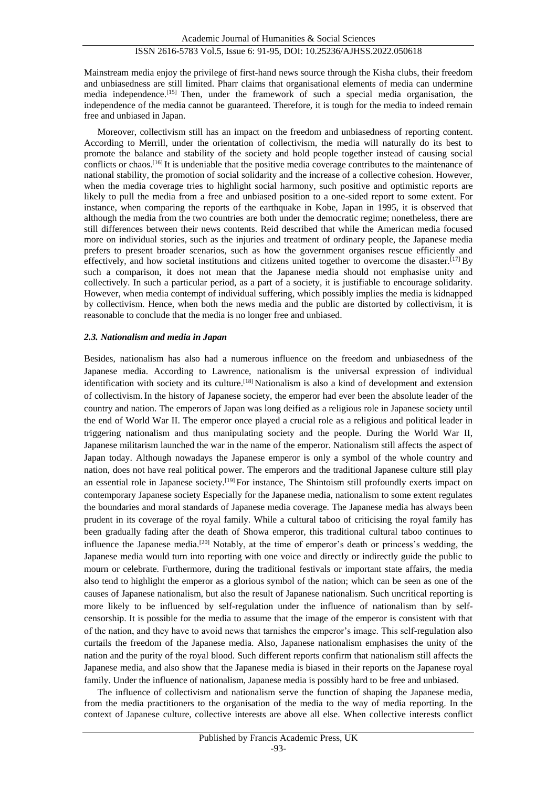Mainstream media enjoy the privilege of first-hand news source through the Kisha clubs, their freedom and unbiasedness are still limited. Pharr claims that organisational elements of media can undermine media independence.[15] Then, under the framework of such a special media organisation, the independence of the media cannot be guaranteed. Therefore, it is tough for the media to indeed remain free and unbiased in Japan.

Moreover, collectivism still has an impact on the freedom and unbiasedness of reporting content. According to Merrill, under the orientation of collectivism, the media will naturally do its best to promote the balance and stability of the society and hold people together instead of causing social conflicts or chaos.<sup>[16]</sup> It is undeniable that the positive media coverage contributes to the maintenance of national stability, the promotion of social solidarity and the increase of a collective cohesion. However, when the media coverage tries to highlight social harmony, such positive and optimistic reports are likely to pull the media from a free and unbiased position to a one-sided report to some extent. For instance, when comparing the reports of the earthquake in Kobe, Japan in 1995, it is observed that although the media from the two countries are both under the democratic regime; nonetheless, there are still differences between their news contents. Reid described that while the American media focused more on individual stories, such as the injuries and treatment of ordinary people, the Japanese media prefers to present broader scenarios, such as how the government organises rescue efficiently and effectively, and how societal institutions and citizens united together to overcome the disaster.<sup>[17]</sup> By such a comparison, it does not mean that the Japanese media should not emphasise unity and collectively. In such a particular period, as a part of a society, it is justifiable to encourage solidarity. However, when media contempt of individual suffering, which possibly implies the media is kidnapped by collectivism. Hence, when both the news media and the public are distorted by collectivism, it is reasonable to conclude that the media is no longer free and unbiased.

#### *2.3. Nationalism and media in Japan*

Besides, nationalism has also had a numerous influence on the freedom and unbiasedness of the Japanese media. According to Lawrence, nationalism is the universal expression of individual identification with society and its culture.<sup>[18]</sup> Nationalism is also a kind of development and extension of collectivism. In the history of Japanese society, the emperor had ever been the absolute leader of the country and nation. The emperors of Japan was long deified as a religious role in Japanese society until the end of World War II. The emperor once played a crucial role as a religious and political leader in triggering nationalism and thus manipulating society and the people. During the World War II, Japanese militarism launched the war in the name of the emperor. Nationalism still affects the aspect of Japan today. Although nowadays the Japanese emperor is only a symbol of the whole country and nation, does not have real political power. The emperors and the traditional Japanese culture still play an essential role in Japanese society.[19] For instance, The Shintoism still profoundly exerts impact on contemporary Japanese society Especially for the Japanese media, nationalism to some extent regulates the boundaries and moral standards of Japanese media coverage. The Japanese media has always been prudent in its coverage of the royal family. While a cultural taboo of criticising the royal family has been gradually fading after the death of Showa emperor, this traditional cultural taboo continues to influence the Japanese media.[20] Notably, at the time of emperor's death or princess's wedding, the Japanese media would turn into reporting with one voice and directly or indirectly guide the public to mourn or celebrate. Furthermore, during the traditional festivals or important state affairs, the media also tend to highlight the emperor as a glorious symbol of the nation; which can be seen as one of the causes of Japanese nationalism, but also the result of Japanese nationalism. Such uncritical reporting is more likely to be influenced by self-regulation under the influence of nationalism than by selfcensorship. It is possible for the media to assume that the image of the emperor is consistent with that of the nation, and they have to avoid news that tarnishes the emperor's image. This self-regulation also curtails the freedom of the Japanese media. Also, Japanese nationalism emphasises the unity of the nation and the purity of the royal blood. Such different reports confirm that nationalism still affects the Japanese media, and also show that the Japanese media is biased in their reports on the Japanese royal family. Under the influence of nationalism, Japanese media is possibly hard to be free and unbiased.

The influence of collectivism and nationalism serve the function of shaping the Japanese media, from the media practitioners to the organisation of the media to the way of media reporting. In the context of Japanese culture, collective interests are above all else. When collective interests conflict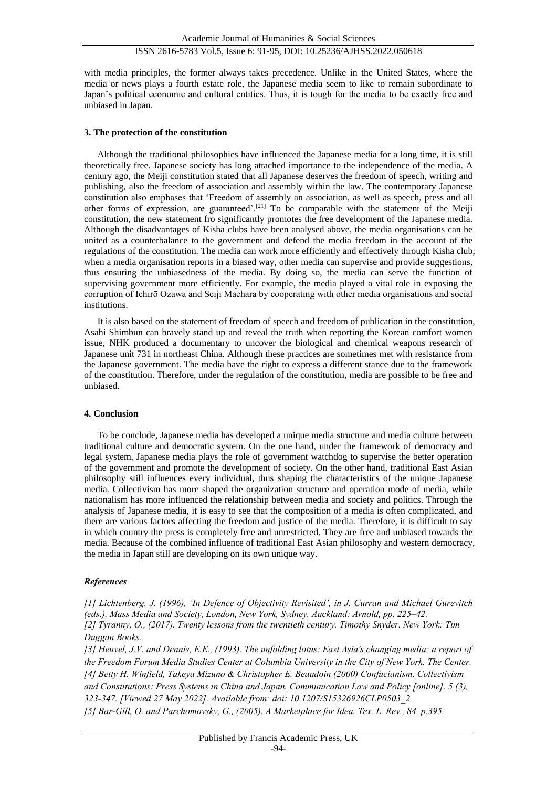with media principles, the former always takes precedence. Unlike in the United States, where the media or news plays a fourth estate role, the Japanese media seem to like to remain subordinate to Japan's political economic and cultural entities. Thus, it is tough for the media to be exactly free and unbiased in Japan.

#### **3. The protection of the constitution**

Although the traditional philosophies have influenced the Japanese media for a long time, it is still theoretically free. Japanese society has long attached importance to the independence of the media. A century ago, the Meiji constitution stated that all Japanese deserves the freedom of speech, writing and publishing, also the freedom of association and assembly within the law. The contemporary Japanese constitution also emphases that 'Freedom of assembly an association, as well as speech, press and all other forms of expression, are guaranteed'.[21] To be comparable with the statement of the Meiji constitution, the new statement fro significantly promotes the free development of the Japanese media. Although the disadvantages of Kisha clubs have been analysed above, the media organisations can be united as a counterbalance to the government and defend the media freedom in the account of the regulations of the constitution. The media can work more efficiently and effectively through Kisha club; when a media organisation reports in a biased way, other media can supervise and provide suggestions. thus ensuring the unbiasedness of the media. By doing so, the media can serve the function of supervising government more efficiently. For example, the media played a vital role in exposing the corruption of Ichirō Ozawa and Seiji Maehara by cooperating with other media organisations and social institutions.

It is also based on the statement of freedom of speech and freedom of publication in the constitution, Asahi Shimbun can bravely stand up and reveal the truth when reporting the Korean comfort women issue, NHK produced a documentary to uncover the biological and chemical weapons research of Japanese unit 731 in northeast China. Although these practices are sometimes met with resistance from the Japanese government. The media have the right to express a different stance due to the framework of the constitution. Therefore, under the regulation of the constitution, media are possible to be free and unbiased.

#### **4. Conclusion**

To be conclude, Japanese media has developed a unique media structure and media culture between traditional culture and democratic system. On the one hand, under the framework of democracy and legal system, Japanese media plays the role of government watchdog to supervise the better operation of the government and promote the development of society. On the other hand, traditional East Asian philosophy still influences every individual, thus shaping the characteristics of the unique Japanese media. Collectivism has more shaped the organization structure and operation mode of media, while nationalism has more influenced the relationship between media and society and politics. Through the analysis of Japanese media, it is easy to see that the composition of a media is often complicated, and there are various factors affecting the freedom and justice of the media. Therefore, it is difficult to say in which country the press is completely free and unrestricted. They are free and unbiased towards the media. Because of the combined influence of traditional East Asian philosophy and western democracy, the media in Japan still are developing on its own unique way.

#### *References*

*[1] Lichtenberg, J. (1996), 'In Defence of Objectivity Revisited', in J. Curran and Michael Gurevitch (eds.), Mass Media and Society, London, New York, Sydney, Auckland: Arnold, pp. 225–42. [2] Tyranny, O., (2017). Twenty lessons from the twentieth century. Timothy Snyder. New York: Tim Duggan Books.*

*[3] Heuvel, J.V. and Dennis, E.E., (1993). The unfolding lotus: East Asia's changing media: a report of the Freedom Forum Media Studies Center at Columbia University in the City of New York. The Center. [4] Betty H. Winfield, Takeya Mizuno & Christopher E. Beaudoin (2000) Confucianism, Collectivism and Constitutions: Press Systems in China and Japan. Communication Law and Policy [online]. 5 (3), 323-347. [Viewed 27 May 2022]. Available from: doi: 10.1207/S15326926CLP0503\_2 [5] Bar-Gill, O. and Parchomovsky, G., (2005). A Marketplace for Idea. Tex. L. Rev., 84, p.395.*